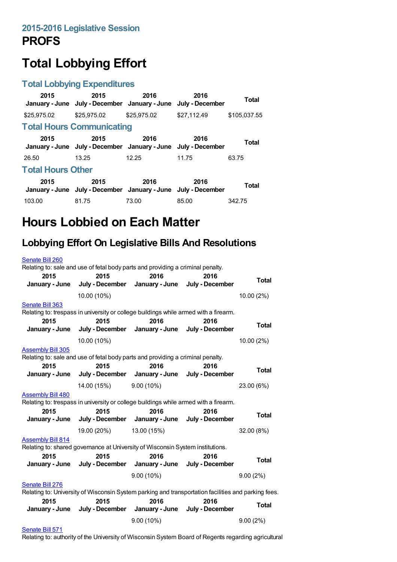# **Total Lobbying Effort**

#### **Total Lobbying Expenditures**

| 2015                             | 2015<br>January - June July - December January - June July - December | 2016        | 2016        | <b>Total</b> |  |
|----------------------------------|-----------------------------------------------------------------------|-------------|-------------|--------------|--|
| \$25,975.02                      | \$25,975.02                                                           | \$25,975.02 | \$27.112.49 | \$105.037.55 |  |
| <b>Total Hours Communicating</b> |                                                                       |             |             |              |  |
| 2015                             | 2015<br>January - June July - December January - June July - December | 2016        | 2016        | <b>Total</b> |  |
| 26.50                            | 13.25                                                                 | 12.25       | 11.75       | 63.75        |  |
| <b>Total Hours Other</b>         |                                                                       |             |             |              |  |
| 2015                             | 2015<br>January - June July - December January - June July - December | 2016        | 2016        | <b>Total</b> |  |
| 103.00                           | 81.75                                                                 | 73.00       | 85.00       | 342.75       |  |

## **Hours Lobbied on Each Matter**

#### **Lobbying Effort On Legislative Bills And Resolutions**

| Senate Bill 260                                                                                                                             | Relating to: sale and use of fetal body parts and providing a criminal penalty.      |                                        |                         |              |
|---------------------------------------------------------------------------------------------------------------------------------------------|--------------------------------------------------------------------------------------|----------------------------------------|-------------------------|--------------|
| 2015<br>January - June                                                                                                                      | 2015<br>July - December                                                              | 2016<br>January - June                 | 2016<br>July - December | <b>Total</b> |
|                                                                                                                                             | 10.00 (10%)                                                                          |                                        |                         | 10.00 (2%)   |
| Senate Bill 363                                                                                                                             | Relating to: trespass in university or college buildings while armed with a firearm. |                                        |                         |              |
| 2015<br>January - June                                                                                                                      | 2015                                                                                 | 2016<br>July - December January - June | 2016<br>July - December | <b>Total</b> |
|                                                                                                                                             | 10.00 (10%)                                                                          |                                        |                         | 10.00 (2%)   |
| <b>Assembly Bill 305</b><br>Relating to: sale and use of fetal body parts and providing a criminal penalty.<br>2015<br>2016<br>2016<br>2015 |                                                                                      |                                        |                         |              |
| January - June                                                                                                                              | July - December                                                                      | January - June                         | July - December         | <b>Total</b> |
|                                                                                                                                             | 14.00 (15%)                                                                          | $9.00(10\%)$                           |                         | 23.00 (6%)   |
| <b>Assembly Bill 480</b>                                                                                                                    | Relating to: trespass in university or college buildings while armed with a firearm. |                                        |                         |              |
| 2015<br>January - June                                                                                                                      | 2015<br>July - December                                                              | 2016<br>January - June                 | 2016<br>July - December | <b>Total</b> |
|                                                                                                                                             | 19.00 (20%)                                                                          | 13.00 (15%)                            |                         | 32.00 (8%)   |
| <b>Assembly Bill 814</b><br>Relating to: shared governance at University of Wisconsin System institutions.                                  |                                                                                      |                                        |                         |              |
| 2015<br>January - June                                                                                                                      | 2015                                                                                 | 2016<br>July - December January - June | 2016<br>July - December | <b>Total</b> |
|                                                                                                                                             |                                                                                      | $9.00(10\%)$                           |                         | 9.00(2%)     |
| Senate Bill 276<br>Relating to: University of Wisconsin System parking and transportation facilities and parking fees.                      |                                                                                      |                                        |                         |              |
| 2015                                                                                                                                        | 2015                                                                                 | 2016                                   | 2016                    | <b>Total</b> |
| January - June                                                                                                                              |                                                                                      | July - December January - June         | July - December         |              |
|                                                                                                                                             |                                                                                      | $9.00(10\%)$                           |                         | 9.00(2%)     |

#### [Senate](https://lobbying.wi.gov/What/BillInformation/2015REG/Information/13054?tab=Efforts) Bill 571

Relating to: authority of the University of Wisconsin System Board of Regents regarding agricultural